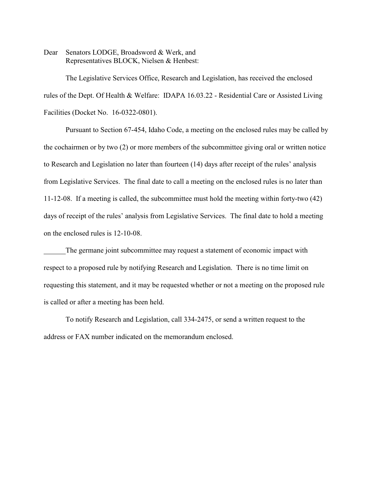Dear Senators LODGE, Broadsword & Werk, and Representatives BLOCK, Nielsen & Henbest:

The Legislative Services Office, Research and Legislation, has received the enclosed rules of the Dept. Of Health & Welfare: IDAPA 16.03.22 - Residential Care or Assisted Living Facilities (Docket No. 16-0322-0801).

Pursuant to Section 67-454, Idaho Code, a meeting on the enclosed rules may be called by the cochairmen or by two (2) or more members of the subcommittee giving oral or written notice to Research and Legislation no later than fourteen (14) days after receipt of the rules' analysis from Legislative Services. The final date to call a meeting on the enclosed rules is no later than 11-12-08. If a meeting is called, the subcommittee must hold the meeting within forty-two (42) days of receipt of the rules' analysis from Legislative Services. The final date to hold a meeting on the enclosed rules is 12-10-08.

The germane joint subcommittee may request a statement of economic impact with respect to a proposed rule by notifying Research and Legislation. There is no time limit on requesting this statement, and it may be requested whether or not a meeting on the proposed rule is called or after a meeting has been held.

To notify Research and Legislation, call 334-2475, or send a written request to the address or FAX number indicated on the memorandum enclosed.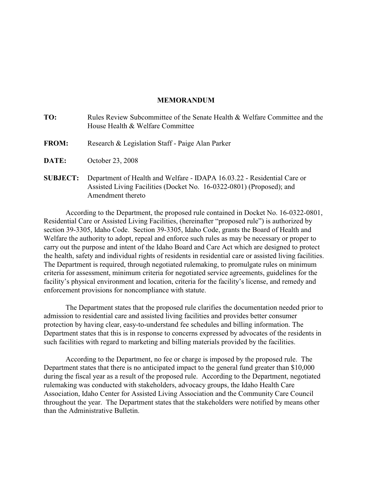## **MEMORANDUM**

| TO:             | Rules Review Subcommittee of the Senate Health & Welfare Committee and the<br>House Health & Welfare Committee                                  |
|-----------------|-------------------------------------------------------------------------------------------------------------------------------------------------|
| <b>FROM:</b>    | Research & Legislation Staff - Paige Alan Parker                                                                                                |
| <b>DATE:</b>    | October 23, 2008                                                                                                                                |
| <b>SUBJECT:</b> | Department of Health and Welfare - IDAPA 16.03.22 - Residential Care or<br>Assisted Living Facilities (Docket No. 16-0322-0801) (Proposed); and |

Amendment thereto

According to the Department, the proposed rule contained in Docket No. 16-0322-0801, Residential Care or Assisted Living Facilities, (hereinafter "proposed rule") is authorized by section 39-3305, Idaho Code. Section 39-3305, Idaho Code, grants the Board of Health and Welfare the authority to adopt, repeal and enforce such rules as may be necessary or proper to carry out the purpose and intent of the Idaho Board and Care Act which are designed to protect the health, safety and individual rights of residents in residential care or assisted living facilities. The Department is required, through negotiated rulemaking, to promulgate rules on minimum criteria for assessment, minimum criteria for negotiated service agreements, guidelines for the facility's physical environment and location, criteria for the facility's license, and remedy and enforcement provisions for noncompliance with statute.

The Department states that the proposed rule clarifies the documentation needed prior to admission to residential care and assisted living facilities and provides better consumer protection by having clear, easy-to-understand fee schedules and billing information. The Department states that this is in response to concerns expressed by advocates of the residents in such facilities with regard to marketing and billing materials provided by the facilities.

According to the Department, no fee or charge is imposed by the proposed rule. The Department states that there is no anticipated impact to the general fund greater than \$10,000 during the fiscal year as a result of the proposed rule. According to the Department, negotiated rulemaking was conducted with stakeholders, advocacy groups, the Idaho Health Care Association, Idaho Center for Assisted Living Association and the Community Care Council throughout the year. The Department states that the stakeholders were notified by means other than the Administrative Bulletin.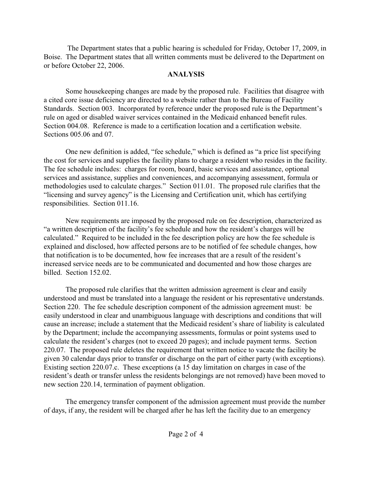The Department states that a public hearing is scheduled for Friday, October 17, 2009, in Boise. The Department states that all written comments must be delivered to the Department on or before October 22, 2006.

# **ANALYSIS**

Some housekeeping changes are made by the proposed rule. Facilities that disagree with a cited core issue deficiency are directed to a website rather than to the Bureau of Facility Standards. Section 003. Incorporated by reference under the proposed rule is the Department's rule on aged or disabled waiver services contained in the Medicaid enhanced benefit rules. Section 004.08. Reference is made to a certification location and a certification website. Sections 005.06 and 07.

One new definition is added, "fee schedule," which is defined as "a price list specifying the cost for services and supplies the facility plans to charge a resident who resides in the facility. The fee schedule includes: charges for room, board, basic services and assistance, optional services and assistance, supplies and conveniences, and accompanying assessment, formula or methodologies used to calculate charges." Section 011.01. The proposed rule clarifies that the "licensing and survey agency" is the Licensing and Certification unit, which has certifying responsibilities. Section 011.16.

New requirements are imposed by the proposed rule on fee description, characterized as "a written description of the facility's fee schedule and how the resident's charges will be calculated." Required to be included in the fee description policy are how the fee schedule is explained and disclosed, how affected persons are to be notified of fee schedule changes, how that notification is to be documented, how fee increases that are a result of the resident's increased service needs are to be communicated and documented and how those charges are billed. Section 152.02.

The proposed rule clarifies that the written admission agreement is clear and easily understood and must be translated into a language the resident or his representative understands. Section 220. The fee schedule description component of the admission agreement must: be easily understood in clear and unambiguous language with descriptions and conditions that will cause an increase; include a statement that the Medicaid resident's share of liability is calculated by the Department; include the accompanying assessments, formulas or point systems used to calculate the resident's charges (not to exceed 20 pages); and include payment terms. Section 220.07. The proposed rule deletes the requirement that written notice to vacate the facility be given 30 calendar days prior to transfer or discharge on the part of either party (with exceptions). Existing section 220.07.c. These exceptions (a 15 day limitation on charges in case of the resident's death or transfer unless the residents belongings are not removed) have been moved to new section 220.14, termination of payment obligation.

The emergency transfer component of the admission agreement must provide the number of days, if any, the resident will be charged after he has left the facility due to an emergency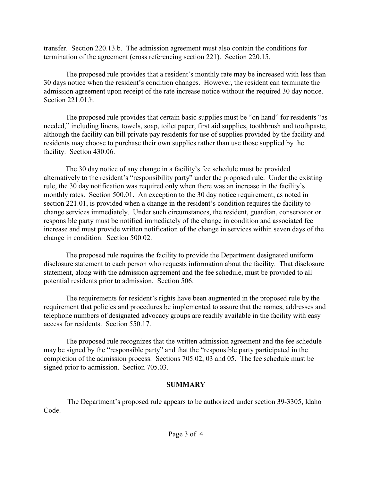transfer. Section 220.13.b. The admission agreement must also contain the conditions for termination of the agreement (cross referencing section 221). Section 220.15.

The proposed rule provides that a resident's monthly rate may be increased with less than 30 days notice when the resident's condition changes. However, the resident can terminate the admission agreement upon receipt of the rate increase notice without the required 30 day notice. Section 221.01.h.

The proposed rule provides that certain basic supplies must be "on hand" for residents "as needed," including linens, towels, soap, toilet paper, first aid supplies, toothbrush and toothpaste, although the facility can bill private pay residents for use of supplies provided by the facility and residents may choose to purchase their own supplies rather than use those supplied by the facility. Section 430.06.

The 30 day notice of any change in a facility's fee schedule must be provided alternatively to the resident's "responsibility party" under the proposed rule. Under the existing rule, the 30 day notification was required only when there was an increase in the facility's monthly rates. Section 500.01. An exception to the 30 day notice requirement, as noted in section 221.01, is provided when a change in the resident's condition requires the facility to change services immediately. Under such circumstances, the resident, guardian, conservator or responsible party must be notified immediately of the change in condition and associated fee increase and must provide written notification of the change in services within seven days of the change in condition. Section 500.02.

The proposed rule requires the facility to provide the Department designated uniform disclosure statement to each person who requests information about the facility. That disclosure statement, along with the admission agreement and the fee schedule, must be provided to all potential residents prior to admission. Section 506.

The requirements for resident's rights have been augmented in the proposed rule by the requirement that policies and procedures be implemented to assure that the names, addresses and telephone numbers of designated advocacy groups are readily available in the facility with easy access for residents. Section 550.17.

The proposed rule recognizes that the written admission agreement and the fee schedule may be signed by the "responsible party" and that the "responsible party participated in the completion of the admission process. Sections 705.02, 03 and 05. The fee schedule must be signed prior to admission. Section 705.03.

# **SUMMARY**

 The Department's proposed rule appears to be authorized under section 39-3305, Idaho Code.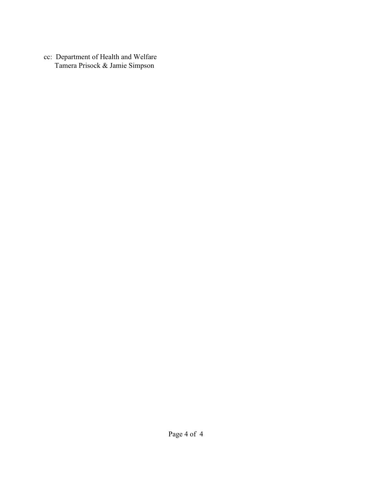cc: Department of Health and Welfare Tamera Prisock & Jamie Simpson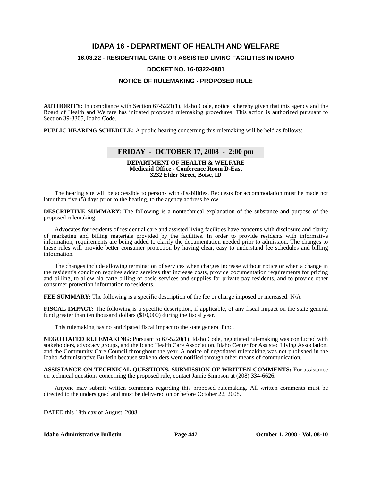## **IDAPA 16 - DEPARTMENT OF HEALTH AND WELFARE**

#### **16.03.22 - RESIDENTIAL CARE OR ASSISTED LIVING FACILITIES IN IDAHO**

#### **DOCKET NO. 16-0322-0801**

#### **NOTICE OF RULEMAKING - PROPOSED RULE**

**AUTHORITY:** In compliance with Section 67-5221(1), Idaho Code, notice is hereby given that this agency and the Board of Health and Welfare has initiated proposed rulemaking procedures. This action is authorized pursuant to Section 39-3305, Idaho Code.

**PUBLIC HEARING SCHEDULE:** A public hearing concerning this rulemaking will be held as follows:

## **FRIDAY - OCTOBER 17, 2008 - 2:00 pm**

#### **DEPARTMENT OF HEALTH & WELFARE Medicaid Office - Conference Room D-East 3232 Elder Street, Boise, ID**

The hearing site will be accessible to persons with disabilities. Requests for accommodation must be made not later than five  $(5)$  days prior to the hearing, to the agency address below.

**DESCRIPTIVE SUMMARY:** The following is a nontechnical explanation of the substance and purpose of the proposed rulemaking:

Advocates for residents of residential care and assisted living facilities have concerns with disclosure and clarity of marketing and billing materials provided by the facilities. In order to provide residents with informative information, requirements are being added to clarify the documentation needed prior to admission. The changes to these rules will provide better consumer protection by having clear, easy to understand fee schedules and billing information.

The changes include allowing termination of services when charges increase without notice or when a change in the resident's condition requires added services that increase costs, provide documentation requirements for pricing and billing, to allow ala carte billing of basic services and supplies for private pay residents, and to provide other consumer protection information to residents.

**FEE SUMMARY:** The following is a specific description of the fee or charge imposed or increased: N/A

**FISCAL IMPACT:** The following is a specific description, if applicable, of any fiscal impact on the state general fund greater than ten thousand dollars (\$10,000) during the fiscal year.

This rulemaking has no anticipated fiscal impact to the state general fund.

**NEGOTIATED RULEMAKING:** Pursuant to 67-5220(1), Idaho Code, negotiated rulemaking was conducted with stakeholders, advocacy groups, and the Idaho Health Care Association, Idaho Center for Assisted Living Association, and the Community Care Council throughout the year. A notice of negotiated rulemaking was not published in the Idaho Administrative Bulletin because stakeholders were notified through other means of communication.

**ASSISTANCE ON TECHNICAL QUESTIONS, SUBMISSION OF WRITTEN COMMENTS:** For assistance on technical questions concerning the proposed rule, contact Jamie Simpson at (208) 334-6626*.*

Anyone may submit written comments regarding this proposed rulemaking. All written comments must be directed to the undersigned and must be delivered on or before October 22, 2008.

DATED this 18th day of August, 2008.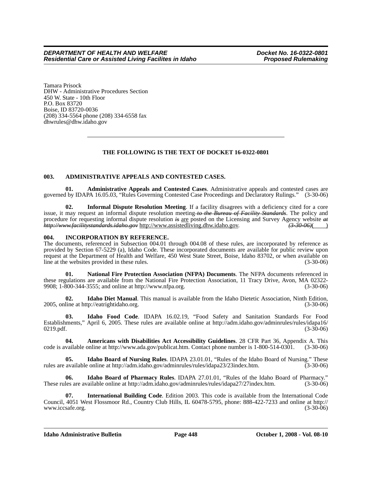Tamara Prisock DHW - Administrative Procedures Section 450 W. State - 10th Floor P.O. Box 83720 Boise, ID 83720-0036 (208) 334-5564 phone (208) 334-6558 fax <dhwrules@dhw.idaho.gov>

## **THE FOLLOWING IS THE TEXT OF DOCKET 16-0322-0801**

#### **003. ADMINISTRATIVE APPEALS AND CONTESTED CASES.**

**01. Administrative Appeals and Contested Cases**. Administrative appeals and contested cases are governed by IDAPA 16.05.03, "Rules Governing Contested Case Proceedings and Declaratory Rulings." (3-30-06)

**02. Informal Dispute Resolution Meeting**. If a facility disagrees with a deficiency cited for a core issue, it may request an informal dispute resolution meeting *to the Bureau of Facility Standards*. The policy and procedure for requesting informal dispute resolution *is* <u>are</u> posted on the Licensing and Survey Agency website *at*  $\frac{h\text{H}}{h\text{H}}$  http://www.facilitystandards.idaho.gov. (3.30.06) *http://www.facilitystandards.idaho.gov* [http://www.assistedliving.dhw.idaho.gov.](http://www.assistedliving.dhw.idaho.gov) *(3-30-06)*( )

#### **004. INCORPORATION BY REFERENCE.**

The documents, referenced in Subsection 004.01 through 004.08 of these rules, are incorporated by reference as provided by Section 67-5229 (a), Idaho Code. These incorporated documents are available for public review upon request at the Department of Health and Welfare, 450 West State Street, Boise, Idaho 83702, or when available on line at the websites provided in these rules. (3-30-06)

**01. National Fire Protection Association (NFPA) Documents**[. The NFPA documents referenced in](http://www.nfpa.org)  these regulations are available from the National Fire Protection Association, 11 Tracy Drive, Avon, MA 02322- [9908; 1-800-344-3555; and online at http://www.nfpa.org. \(3-30-06\)](http://www.nfpa.org)

**02. Idaho Diet Manual**[. This manual is available from the Idaho Dietetic Association, Ninth Edition,](http://eatrightidaho.org) [2005, online at http://eatrightidaho.org. \(3-30-06\)](http://eatrightidaho.org)

**03. Idaho Food Code**[. IDAPA 16.02.19, "Food Safety and Sanitation Standards For Food](http://adm.idaho.gov/adminrules/rules/idapa16/0219.pdf)  [Establishments," April 6, 2005. These rules are available online at http://adm.idaho.gov/adminrules/rules/idapa16/](http://adm.idaho.gov/adminrules/rules/idapa16/0219.pdf)  $0219. \text{pdf.}$  (3-30-06)

**04. Americans with Disabilities Act Accessibility Guidelines**[. 28 CFR Part 36, Appendix A. This](http://www.ada.gov/publicat.htm)  code is available online at http://www.ada.gov/publicat.htm. Contact phone number is 1-800-514-0301.

**05. Idaho Board of Nursing Rules**[. IDAPA 23.01.01, "Rules of the Idaho Board of Nursing." These](http://adm.idaho.gov/adminrules/rules/idapa23/23index.htm)  [rules are available online at http://adm.idaho.gov/adminrules/rules/idapa23/23index.htm. \(3-30-06\)](http://adm.idaho.gov/adminrules/rules/idapa23/23index.htm)

**06. Idaho Board of Pharmacy Rules**[. IDAPA 27.01.01, "Rules of the Idaho Board of Pharmacy."](http://adm.idaho.gov/adminrules/rules/idapa27/27index.htm)  [These rules are available online at http://adm.idaho.gov/adminrules/rules/idapa27/27index.htm. \(3-30-06\)](http://adm.idaho.gov/adminrules/rules/idapa27/27index.htm)

**07. International Building Code**[. Edition 2003. This code is available from the International Code](http://www.iccsafe.org) [Council, 4051 West Flossmoor Rd., Country Club Hills, IL 60478-5795, phone: 888-422-7233 and online at http://](http://www.iccsafe.org) www.iccsafe.org.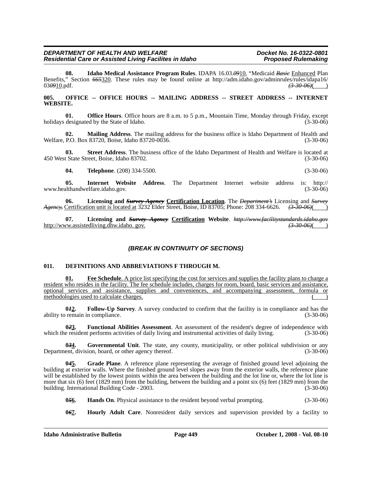**08. Idaho Medical Assistance Program Rules**. IDAPA 16.03.*09*10, "Medicaid *Basic* Enhanced Plan Benefits," Section <del>665320</del>. These rules may be found online at http://adm.idaho.gov/adminrules/rules/idapa16/ 03<del>0910</del>.pdf. (3-30-06) [03](http://adm.idaho.gov/adminrules/rules/idapa16/0310.pdf)*09*10.pdf. *(3-30-06)*( )

#### 005. OFFICE -- OFFICE HOURS -- MAILING ADDRESS -- STREET ADDRESS -- INTERNET **WEBSITE.**

**01. Office Hours**. Office hours are 8 a.m. to 5 p.m., Mountain Time, Monday through Friday, except holidays designated by the State of Idaho. (3-30-06)

**02. Mailing Address**. The mailing address for the business office is Idaho Department of Health and Welfare, P.O. Box 83720, Boise, Idaho 83720-0036. (3-30-06) (3-30-06)

**03. Street Address**. The business office of the Idaho Department of Health and Welfare is located at 450 West State Street, Boise, Idaho 83702. (3-30-06)

**04. Telephone**. (208) 334-5500. **(3-30-06)** (3-30-06)

**05. Internet Website Address**[. The Department Internet website address is: http://](http://www.healthandwelfare.idaho.gov) www.healthandwelfare.idaho.gov.

**06. Licensing and** *Survey Agency* **Certification Location**. The *Department's* Licensing and *Survey Agency,* Certification unit is located at 3232 Elder Street, Boise, ID 83705; Phone: 208 334-6626. *(3-30-06)*( )

**07. Licensing and** *Survey Agency* **Certification Website**. *http://www.facilitystandards.idaho.gov* http://www.assistedliving.dhw.idaho.gov.

## *(BREAK IN CONTINUITY OF SECTIONS)*

#### **011. DEFINITIONS AND ABBREVIATIONS F THROUGH M.**

**01. Fee Schedule**. A price list specifying the cost for services and supplies the facility plans to charge a resident who resides in the facility. The fee schedule includes, charges for room, board, basic services and assistance, optional services and assistance, supplies and conveniences, and accompanying assessment, formula or methodologies used to calculate charges.

**042.** Follow-Up Survey. A survey conducted to confirm that the facility is in compliance and has the remain in compliance. (3-30-06) ability to remain in compliance.

**023.** Functional Abilities Assessment. An assessment of the resident's degree of independence with e resident performs activities of daily living and instrumental activities of daily living. (3-30-06) which the resident performs activities of daily living and instrumental activities of daily living.

**0***3***4. Governmental Unit**. The state, any county, municipality, or other political subdivision or any Department, division, board, or other agency thereof. (3-30-06)

**0***4***5. Grade Plane**. A reference plane representing the average of finished ground level adjoining the building at exterior walls. Where the finished ground level slopes away from the exterior walls, the reference plane will be established by the lowest points within the area between the building and the lot line or, where the lot line is more that six (6) feet (1829 mm) from the building, between the building and a point six (6) feet (1829 mm) from the building. International Building Code - 2003. building. International Building Code - 2003.

**056.** Hands On. Physical assistance to the resident beyond verbal prompting. (3-30-06)

**0***6***7. Hourly Adult Care**. Nonresident daily services and supervision provided by a facility to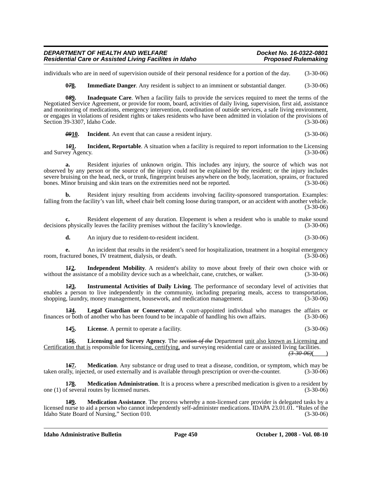#### *DEPARTMENT OF HEALTH AND WELFARE Docket No. 16-0322-0801* **Residential Care or Assisted Living Facilites in Idaho**

individuals who are in need of supervision outside of their personal residence for a portion of the day. (3-30-06)

**078.** Immediate Danger. Any resident is subject to an imminent or substantial danger. (3-30-06)

**0***8***9. Inadequate Care**. When a facility fails to provide the services required to meet the terms of the Negotiated Service Agreement, or provide for room, board, activities of daily living, supervision, first aid, assistance and monitoring of medications, emergency intervention, coordination of outside services, a safe living environment, or engages in violations of resident rights or takes residents who have been admitted in violation of the provisions of Section 39-3307, Idaho Code. (3-30-06)

*09***10. Incident**. An event that can cause a resident injury. (3-30-06)

**1***0***1. Incident, Reportable**. A situation when a facility is required to report information to the Licensing and Survey Agency. (3-30-06) (3-30-06)

**a.** Resident injuries of unknown origin. This includes any injury, the source of which was not observed by any person or the source of the injury could not be explained by the resident; or the injury includes severe bruising on the head, neck, or trunk, fingerprint bruises anywhere on the body, laceration, sprains, or fractured bones. Minor bruising and skin tears on the extremities need not be reported. (3-30-06)

**b.** Resident injury resulting from accidents involving facility-sponsored transportation. Examples: falling from the facility's van lift, wheel chair belt coming loose during transport, or an accident with another vehicle. (3-30-06)

**c.** Resident elopement of any duration. Elopement is when a resident who is unable to make sound s physically leaves the facility premises without the facility's knowledge. (3-30-06) decisions physically leaves the facility premises without the facility's knowledge.

**d.** An injury due to resident-to-resident incident. (3-30-06)

**e.** An incident that results in the resident's need for hospitalization, treatment in a hospital emergency actured bones. IV treatment, dialysis, or death. (3-30-06) room, fractured bones, IV treatment, dialysis, or death.

**1***1***2. Independent Mobility**. A resident's ability to move about freely of their own choice with or without the assistance of a mobility device such as a wheelchair, cane, crutches, or walker. (3-30-06)

**1***2***3. Instrumental Activities of Daily Living**. The performance of secondary level of activities that enables a person to live independently in the community, including preparing meals, access to transportation, shopping, laundry, money management, housework, and medication management. (3-30-06)

**1***3***4. Legal Guardian or Conservator**. A court-appointed individual who manages the affairs or finances or both of another who has been found to be incapable of handling his own affairs. (3-30-06)

**1***4***5. License**. A permit to operate a facility. (3-30-06)

**1***5***6. Licensing and Survey Agency**. The *section of the* Department unit also known as Licensing and Certification that is responsible for licensing, certifying, and surveying residential care or assisted living facilities.

*(3-30-06)*( )

**16<u>7</u>. Medication**. Any substance or drug used to treat a disease, condition, or symptom, which may be ally, injected, or used externally and is available through prescription or over-the-counter. (3-30-06) taken orally, injected, or used externally and is available through prescription or over-the-counter.

**1***7***8. Medication Administration**. It is a process where a prescribed medication is given to a resident by one (1) of several routes by licensed nurses. (3-30-06)

**1***8***9. Medication Assistance**. The process whereby a non-licensed care provider is delegated tasks by a licensed nurse to aid a person who cannot independently self-administer medications. IDAPA 23.01.01. "Rules of the Idaho State Board of Nursing," Section 010. (3-30-06)

**Idaho Administrative Bulletin Page 450 October 1, 2008 - Vol. 08-10**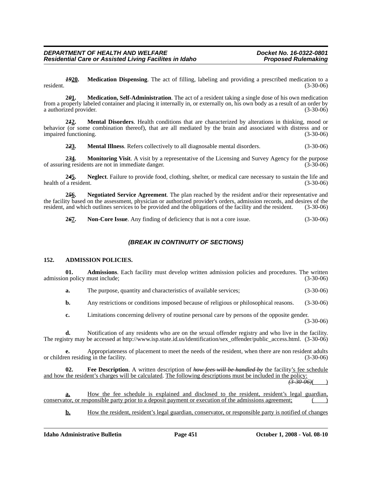*19***20. Medication Dispensing**. The act of filling, labeling and providing a prescribed medication to a resident. (3-30-06)

**2***0***1. Medication, Self-Administration**. The act of a resident taking a single dose of his own medication from a properly labeled container and placing it internally in, or externally on, his own body as a result of an order by a authorized provider.

**2***1***2. Mental Disorders**. Health conditions that are characterized by alterations in thinking, mood or behavior (or some combination thereof), that are all mediated by the brain and associated with distress and or impaired functioning. (3-30-06)

**2***2***3. Mental Illness**. Refers collectively to all diagnosable mental disorders. (3-30-06)

**234.** Monitoring Visit. A visit by a representative of the Licensing and Survey Agency for the purpose ng residents are not in immediate danger. of assuring residents are not in immediate danger.

**2***4***5. Neglect**. Failure to provide food, clothing, shelter, or medical care necessary to sustain the life and health of a resident. (3-30-06)

**2***5***6. Negotiated Service Agreement**. The plan reached by the resident and/or their representative and the facility based on the assessment, physician or authorized provider's orders, admission records, and desires of the resident, and which outlines services to be provided and the obligations of the facility and the reside resident, and which outlines services to be provided and the obligations of the facility and the resident.

**2***6***7. Non-Core Issue**. Any finding of deficiency that is not a core issue. (3-30-06)

## *(BREAK IN CONTINUITY OF SECTIONS)*

#### **152. ADMISSION POLICIES.**

**01. Admissions**. Each facility must develop written admission policies and procedures. The written n policy must include; (3-30-06) admission policy must include;

**a.** The purpose, quantity and characteristics of available services; (3-30-06)

**b.** Any restrictions or conditions imposed because of religious or philosophical reasons. (3-30-06)

**c.** Limitations concerning delivery of routine personal care by persons of the opposite gender. (3-30-06)

**d.** [Notification of any residents who are on the sexual offender registry and who live in the facility.](www.isp.state.id.us/identification/sex_offender/public_access.html) [The registry may be accessed at http://www.isp.state.id.us/identification/sex\\_offender/public\\_access.html. \(3-30-06\)](www.isp.state.id.us/identification/sex_offender/public_access.html)

**e.** Appropriateness of placement to meet the needs of the resident, when there are non resident adults or children residing in the facility. (3-30-06)

**02. Fee Description**. A written description of *how fees will be handled by* the facility's fee schedule and how the resident's charges will be calculated. The following descriptions must be included in the policy:

 $\sqrt{3-30-06}$ 

**a.** How the fee schedule is explained and disclosed to the resident, resident's legal guardian, conservator, or responsible party prior to a deposit payment or execution of the admissions agreement;

**b.** How the resident, resident's legal guardian, conservator, or responsible party is notified of changes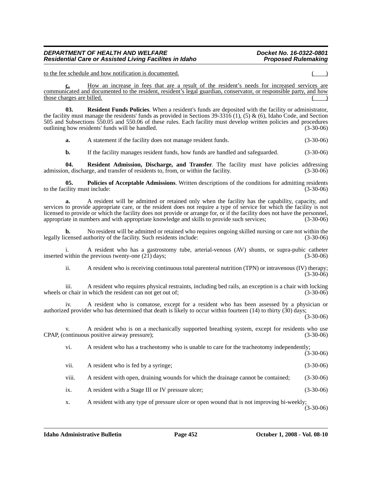to the fee schedule and how notification is documented.

How an increase in fees that are a result of the resident's needs for increased services are communicated and documented to the resident, resident's legal guardian, conservator, or responsible party, and how those charges are billed.

**03. Resident Funds Policies**. When a resident's funds are deposited with the facility or administrator, the facility must manage the residents' funds as provided in Sections 39-3316 (1), (5) & (6), Idaho Code, and Section 505 and Subsections 550.05 and 550.06 of these rules. Each facility must develop written policies and procedures outlining how residents' funds will be handled. (3-30-06)

**a.** A statement if the facility does not manage resident funds. (3-30-06)

**b.** If the facility manages resident funds, how funds are handled and safeguarded.  $(3-30-06)$ 

**04. Resident Admission, Discharge, and Transfer**. The facility must have policies addressing m, discharge, and transfer of residents to, from, or within the facility. (3-30-06) admission, discharge, and transfer of residents to, from, or within the facility.

**05. Policies of Acceptable Admissions**. Written descriptions of the conditions for admitting residents illity must include: (3-30-06) to the facility must include:

**a.** A resident will be admitted or retained only when the facility has the capability, capacity, and services to provide appropriate care, or the resident does not require a type of service for which the facility is not licensed to provide or which the facility does not provide or arrange for, or if the facility does not have the personnel, appropriate in numbers and with appropriate knowledge and skills to provide such services; (3-30-06 appropriate in numbers and with appropriate knowledge and skills to provide such services;

**b.** No resident will be admitted or retained who requires ongoing skilled nursing or care not within the censed authority of the facility. Such residents include:  $(3-30-06)$ legally licensed authority of the facility. Such residents include:

i. A resident who has a gastrostomy tube, arterial-venous (AV) shunts, or supra-pubic catheter within the previous twenty-one (21) days: (3-30-06) inserted within the previous twenty-one  $(2\bar{1})$  days;

ii. A resident who is receiving continuous total parenteral nutrition (TPN) or intravenous (IV) therapy; (3-30-06)

iii. A resident who requires physical restraints, including bed rails, an exception is a chair with locking r chair in which the resident can not get out of: (3-30-06) wheels or chair in which the resident can not get out of;

A resident who is comatose, except for a resident who has been assessed by a physician or authorized provider who has determined that death is likely to occur within fourteen (14) to thirty (30) days; (3-30-06)

v. A resident who is on a mechanically supported breathing system, except for residents who use continuous positive airway pressure); (3-30-06) CPAP, (continuous positive airway pressure);

vi. A resident who has a tracheotomy who is unable to care for the tracheotomy independently;

 $(3-30-06)$ 

vii. A resident who is fed by a syringe; (3-30-06)

viii. A resident with open, draining wounds for which the drainage cannot be contained; (3-30-06)

ix. A resident with a Stage III or IV pressure ulcer; (3-30-06)

x. A resident with any type of pressure ulcer or open wound that is not improving bi-weekly;  $(3 - 30 - 06)$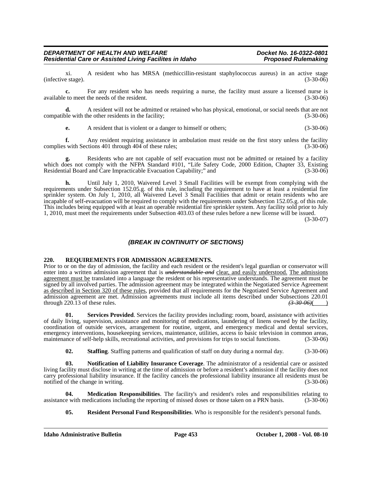xi. A resident who has MRSA (methiccillin-resistant staphylococcus aureus) in an active stage (infective stage).

**c.** For any resident who has needs requiring a nurse, the facility must assure a licensed nurse is available to meet the needs of the resident. (3-30-06)

**d.** A resident will not be admitted or retained who has physical, emotional, or social needs that are not ble with the other residents in the facility: (3-30-06) compatible with the other residents in the facility;

**e.** A resident that is violent or a danger to himself or others; (3-30-06)

**f.** Any resident requiring assistance in ambulation must reside on the first story unless the facility swith Sections 401 through 404 of these rules: (3-30-06) complies with Sections 401 through 404 of these rules;

**g.** Residents who are not capable of self evacuation must not be admitted or retained by a facility which does not comply with the NFPA Standard #101, "Life Safety Code, 2000 Edition, Chapter 33, Existing Residential Board and Care Impracticable Evacuation Capability;" and (3-30-06) Residential Board and Care Impracticable Evacuation Capability;" and

**h.** Until July 1, 2010, Waivered Level 3 Small Facilities will be exempt from complying with the requirements under Subsection 152.05.g. of this rule, including the requirement to have at least a residential fire sprinkler system. On July 1, 2010, all Waivered Level 3 Small Facilities that admit or retain residents who are incapable of self-evacuation will be required to comply with the requirements under Subsection 152.05.g. of this rule. This includes being equipped with at least an operable residential fire sprinkler system. Any facility sold prior to July 1, 2010, must meet the requirements under Subsection 403.03 of these rules before a new license will be issued.

(3-30-07)

## *(BREAK IN CONTINUITY OF SECTIONS)*

#### **220. REQUIREMENTS FOR ADMISSION AGREEMENTS.**

Prior to or on the day of admission, the facility and each resident or the resident's legal guardian or conservator will enter into a written admission agreement that is *understandable and* clear, and easily understood. The admissions agreement must be translated into a language the resident or his representative understands. The agreement must be signed by all involved parties. The admission agreement may be integrated within the Negotiated Service Agreement as described in Section 320 of these rules, provided that all requirements for the Negotiated Service Agreement and admission agreement are met. Admission agreements must include all items described under Subsections 220.01 through 220.13 of these rules.  $\left(3\text{-}30\text{-}66\right)$ through 220.13 of these rules. *(3-30-06)*( )

**01. Services Provided**. Services the facility provides including: room, board, assistance with activities of daily living, supervision, assistance and monitoring of medications, laundering of linens owned by the facility, coordination of outside services, arrangement for routine, urgent, and emergency medical and dental services, emergency interventions, housekeeping services, maintenance, utilities, access to basic television in common areas, maintenance of self-help skills, recreational activities, and provisions for trips to social functions. (3-30-06)

**02. Staffing**. Staffing patterns and qualification of staff on duty during a normal day. (3-30-06)

**03. Notification of Liability Insurance Coverage**. The administrator of a residential care or assisted living facility must disclose in writing at the time of admission or before a resident's admission if the facility does not carry professional liability insurance. If the facility cancels the professional liability insurance all residents must be notified of the change in writing. (3-30-06)

**04. Medication Responsibilities**. The facility's and resident's roles and responsibilities relating to assistance with medications including the reporting of missed doses or those taken on a PRN basis. (3-30-06)

**05. Resident Personal Fund Responsibilities**. Who is responsible for the resident's personal funds.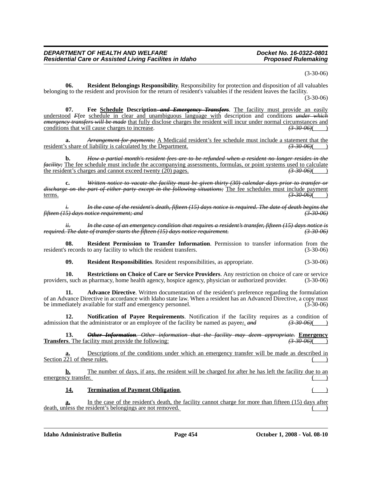(3-30-06)

**06. Resident Belongings Responsibility**. Responsibility for protection and disposition of all valuables belonging to the resident and provision for the return of resident's valuables if the resident leaves the facility.  $(3 - 30 - 06)$ 

07. Fee Schedule Description–and Emergency Transfers. The facility must provide an easily understood *F*fee schedule in clear and unambiguous language with description and conditions *under which emergency transfers will be made* that fully disclose charges the resident will incur under normal circumstances and conditions that will cause charges to increase. conditions that will cause charges to increase.

**a.** *Arrangement for payments;* <u>A Medicaid resident's fee schedule must include a statement that the</u> s share of liability is calculated by the Department.  $\overrightarrow{330\cdot960}$ resident's share of liability is calculated by the Department.

**b.** *How a partial month's resident fees are to be refunded when a resident no longer resides in the facility;* The fee schedule must include the accompanying assessments, formulas, or point systems used to calculate the resident's charges and cannot exceed twenty (20) pages.  $\overline{(3.3006)}$ the resident's charges and cannot exceed twenty (20) pages.

**c.** *Written notice to vacate the facility must be given thirty (30) calendar days prior to transfer or discharge on the part of either party except in the following situations;* The fee schedules must include payment terms. terms. *(3-30-06)*( )

*i. In the case of the resident's death, fifteen (15) days notice is required. The date of death begins the fifteen (15) days notice requirement; and (3-30-06)*

*ii. In the case of an emergency condition that requires a resident's transfer, fifteen (15) days notice is required. The date of transfer starts the fifteen (15) days notice requirement. (3-30-06)*

**08. Resident Permission to Transfer Information**. Permission to transfer information from the resident's records to any facility to which the resident transfers. (3-30-06)

**09. Resident Responsibilities**. Resident responsibilities, as appropriate. (3-30-06)

**10. Restrictions on Choice of Care or Service Providers**. Any restriction on choice of care or service s, such as pharmacy, home health agency, hospice agency, physician or authorized provider. (3-30-06) providers, such as pharmacy, home health agency, hospice agency, physician or authorized provider.

**11. Advance Directive**. Written documentation of the resident's preference regarding the formulation of an Advance Directive in accordance with Idaho state law. When a resident has an Advanced Directive, a copy must be immediately available for staff and emergency personnel. (3-30-06)

**12. Notification of Payee Requirements**. Notification if the facility requires as a condition of admission that the administrator or an employee of the facility be named as payee*;*. *and (3-30-06)*( )

**13.** *Other Information. Other information that the facility may deem appropriate.* **Emergency Transfers**. The facility must provide the following:  $(3-30-06)$ 

**a.** Descriptions of the conditions under which an emergency transfer will be made as described in Section 221 of these rules. ( )

**b.** The number of days, if any, the resident will be charged for after he has left the facility due to an emergency transfer.

#### 14. **Termination of Payment Obligation.**

**a.** In the case of the resident's death, the facility cannot charge for more than fifteen (15) days after death, unless the resident's belongings are not removed.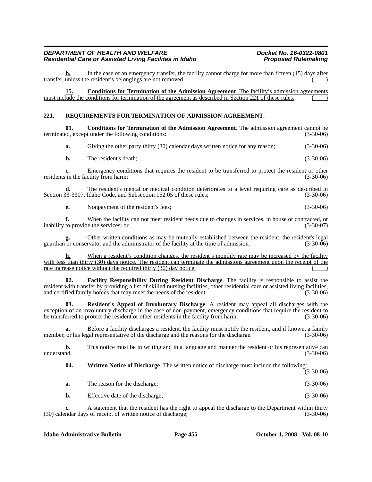**b.** In the case of an emergency transfer, the facility cannot charge for more than fifteen (15) days after transfer, unless the resident's belongings are not removed.

**15. Conditions for Termination of the Admission Agreement**. The facility's admission agreements must include the conditions for termination of the agreement as described in Section 221 of these rules.

#### **221. REQUIREMENTS FOR TERMINATION OF ADMISSION AGREEMENT.**

**01. Conditions for Termination of the Admission Agreement**. The admission agreement cannot be terminated, except under the following conditions: (3-30-06)

**a.** Giving the other party thirty (30) calendar days written notice for any reason; (3-30-06)

**b.** The resident's death; (3-30-06)

**c.** Emergency conditions that requires the resident to be transferred to protect the resident or other residents in the facility from harm; (3-30-06)

**d.** The resident's mental or medical condition deteriorates to a level requiring care as described in Section 33-3307, Idaho Code, and Subsection 152.05 of these rules; (3-30-06)

**e.** Nonpayment of the resident's fees; (3-30-06)

**f.** When the facility can not meet resident needs due to changes in services, in house or contracted, or to provide the services: or inability to provide the services; or

Other written conditions as may be mutually established between the resident, the resident's legal rvator and the administrator of the facility at the time of admission. (3-30-06) guardian or conservator and the administrator of the facility at the time of admission.

**h.** When a resident's condition changes, the resident's monthly rate may be increased by the facility with less than thirty (30) days notice. The resident can terminate the admissions agreement upon the receipt of the rate increase notice without the required thirty (30) day notice.

**02. Facility Responsibility During Resident Discharge**. The facility is responsible to assist the resident with transfer by providing a list of skilled nursing facilities, other residential care or assisted living facilities, and certified family homes that may meet the needs of the resident. (3-30-06)

**03. Resident's Appeal of Involuntary Discharge**. A resident may appeal all discharges with the exception of an involuntary discharge in the case of non-payment, emergency conditions that require the resident to be transferred to protect the resident or other residents in the facility from harm. (3-30-06)

**a.** Before a facility discharges a resident, the facility must notify the resident, and if known, a family or his legal representative of the discharge and the reasons for the discharge. (3-30-06) member, or his legal representative of the discharge and the reasons for the discharge.

**b.** This notice must be in writing and in a language and manner the resident or his representative can understand.  $(3-30-06)$ 

**04. Written Notice of Discharge**. The written notice of discharge must include the following:

 $(3-30-06)$ 

**a.** The reason for the discharge; (3-30-06)

**b.** Effective date of the discharge; (3-30-06)

**c.** A statement that the resident has the right to appeal the discharge to the Department within thirty (30) calendar days of receipt of written notice of discharge; (3-30-06)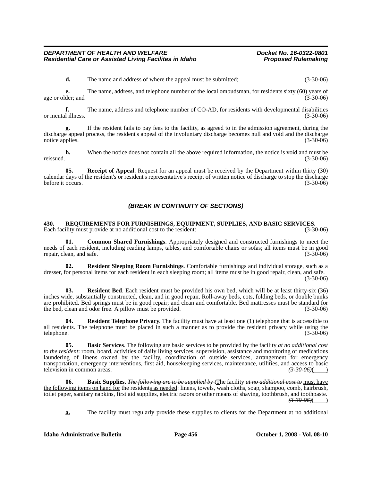**d.** The name and address of where the appeal must be submitted; (3-30-06)

**e.** The name, address, and telephone number of the local ombudsman, for residents sixty (60) years of der; and (3-30-06) age or older; and

**f.** The name, address and telephone number of CO-AD, for residents with developmental disabilities (3-30-06) or mental illness.

**g.** If the resident fails to pay fees to the facility, as agreed to in the admission agreement, during the discharge appeal process, the resident's appeal of the involuntary discharge becomes null and void and the discharge notice applies. (3-30-06)

**h.** When the notice does not contain all the above required information, the notice is void and must be reissued. (3-30-06)

**05. Receipt of Appeal**. Request for an appeal must be received by the Department within thirty (30) calendar days of the resident's or resident's representative's receipt of written notice of discharge to stop the discharge before it occurs. (3-30-06)

#### *(BREAK IN CONTINUITY OF SECTIONS)*

**430. REQUIREMENTS FOR FURNISHINGS, EQUIPMENT, SUPPLIES, AND BASIC SERVICES.** Each facility must provide at no additional cost to the resident: (3-30-06)

**01. Common Shared Furnishings**. Appropriately designed and constructed furnishings to meet the needs of each resident, including reading lamps, tables, and comfortable chairs or sofas; all items must be in good repair. clean, and safe. (3-30-06) repair, clean, and safe.

**02. Resident Sleeping Room Furnishings**. Comfortable furnishings and individual storage, such as a dresser, for personal items for each resident in each sleeping room; all items must be in good repair, clean, and safe. (3-30-06)

**03. Resident Bed**. Each resident must be provided his own bed, which will be at least thirty-six (36) inches wide, substantially constructed, clean, and in good repair. Roll-away beds, cots, folding beds, or double bunks are prohibited. Bed springs must be in good repair; and clean and comfortable. Bed mattresses must be standard for<br>(3-30-06) (3-30-06) (3-30-06) the bed, clean and odor free. A pillow must be provided.

**Resident Telephone Privacy**. The facility must have at least one (1) telephone that is accessible to all residents. The telephone must be placed in such a manner as to provide the resident privacy while using the telephone. (3-30-06) telephone.  $(3-30-06)$ 

**05. Basic Services**. The following are basic services to be provided by the facility *at no additional cost to the resident*: room, board, activities of daily living services, supervision, assistance and monitoring of medications laundering of linens owned by the facility, coordination of outside services, arrangement for emergency transportation, emergency interventions, first aid, housekeeping services, maintenance, utilities, and access to basic television in common areas.  $\overline{(3.3006)}$ television in common areas.

**06. Basic Supplies**. *The following are to be supplied by t*The facility *at no additional cost to* must have the following items on hand for the residents as needed: linens, towels, wash cloths, soap, shampoo, comb, hairbrush, toilet paper, sanitary napkins, first aid supplies, electric razors or other means of shaving, toothbrush, and toothpaste. *(3-30-06)*( )

**a.** The facility must regularly provide these supplies to clients for the Department at no additional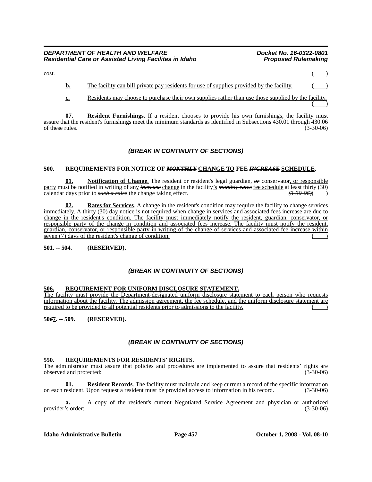#### *DEPARTMENT OF HEALTH AND WELFARE Docket No. 16-0322-0801* **Residential Care or Assisted Living Facilites in Idaho**

| <u>cost</u> |                                                                                           |  |
|-------------|-------------------------------------------------------------------------------------------|--|
|             | The facility can bill private pay residents for use of supplies provided by the facility. |  |

**c.** Residents may choose to purchase their own supplies rather than use those supplied by the facility.  $\begin{pmatrix} 1 \\ 1 \end{pmatrix}$ 

**07.** Resident Furnishings. If a resident chooses to provide his own furnishings, the facility must assure that the resident's furnishings meet the minimum standards as identified in Subsections 430.01 through 430.06 of these rules. (3-30-06)

## *(BREAK IN CONTINUITY OF SECTIONS)*

#### **500. REQUIREMENTS FOR NOTICE OF** *MONTHLY* **CHANGE TO FEE** *INCREASE* **SCHEDULE.**

**01. Notification of Change**. The resident or resident's legal guardian, *or* conservator, or responsible party must be notified in writing of any *increase* change in the facility's *monthly rates* fee schedule at least thirty (30) calendar days prior to *such a raise* the change taking effect. *(3-30-06)*( )

**02. Rates for Services**. A change in the resident's condition may require the facility to change services immediately. A thirty (30) day notice is not required when change in services and associated fees increase are due to change in the resident's condition. The facility must immediately notify the resident, guardian, conservator, or responsible party of the change in condition and associated fees increase. The facility must notify the resident, guardian, conservator, or responsible party in writing of the change of services and associated fee increase within seven (7) days of the resident's change of condition.

**501. -- 504. (RESERVED).**

## *(BREAK IN CONTINUITY OF SECTIONS)*

#### **506. REQUIREMENT FOR UNIFORM DISCLOSURE STATEMENT.**

The facility must provide the Department-designated uniform disclosure statement to each person who requests information about the facility. The admission agreement, the fee schedule, and the uniform disclosure statement are required to be provided to all potential residents prior to admissions to the facility.

**50***6***7. -- 509. (RESERVED).**

## *(BREAK IN CONTINUITY OF SECTIONS)*

#### **550. REQUIREMENTS FOR RESIDENTS' RIGHTS.**

The administrator must assure that policies and procedures are implemented to assure that residents' rights are observed and protected: (3-30-06)

**Resident Records**. The facility must maintain and keep current a record of the specific information on each resident. Upon request a resident must be provided access to information in his record. (3-30-06)

**a.** A copy of the resident's current Negotiated Service Agreement and physician or authorized provider's order; (3-30-06)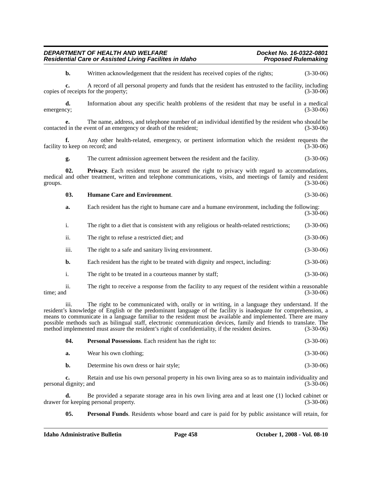| groups.                                                                                                                                                                                                                                                                                                                                                                                                                                                                                                                                                           |      |                                                                                                      | $(3-30-06)$ |
|-------------------------------------------------------------------------------------------------------------------------------------------------------------------------------------------------------------------------------------------------------------------------------------------------------------------------------------------------------------------------------------------------------------------------------------------------------------------------------------------------------------------------------------------------------------------|------|------------------------------------------------------------------------------------------------------|-------------|
|                                                                                                                                                                                                                                                                                                                                                                                                                                                                                                                                                                   | 03.  | <b>Humane Care and Environment.</b>                                                                  | $(3-30-06)$ |
|                                                                                                                                                                                                                                                                                                                                                                                                                                                                                                                                                                   | a.   | Each resident has the right to humane care and a humane environment, including the following:        | $(3-30-06)$ |
|                                                                                                                                                                                                                                                                                                                                                                                                                                                                                                                                                                   | i.   | The right to a diet that is consistent with any religious or health-related restrictions;            | $(3-30-06)$ |
|                                                                                                                                                                                                                                                                                                                                                                                                                                                                                                                                                                   | ii.  | The right to refuse a restricted diet; and                                                           | $(3-30-06)$ |
|                                                                                                                                                                                                                                                                                                                                                                                                                                                                                                                                                                   | iii. | The right to a safe and sanitary living environment.                                                 | $(3-30-06)$ |
|                                                                                                                                                                                                                                                                                                                                                                                                                                                                                                                                                                   | b.   | Each resident has the right to be treated with dignity and respect, including:                       | $(3-30-06)$ |
|                                                                                                                                                                                                                                                                                                                                                                                                                                                                                                                                                                   | i.   | The right to be treated in a courteous manner by staff;                                              | $(3-30-06)$ |
| time; and                                                                                                                                                                                                                                                                                                                                                                                                                                                                                                                                                         | ii.  | The right to receive a response from the facility to any request of the resident within a reasonable | $(3-30-06)$ |
| The right to be communicated with, orally or in writing, in a language they understand. If the<br>iii.<br>resident's knowledge of English or the predominant language of the facility is inadequate for comprehension, a<br>means to communicate in a language familiar to the resident must be available and implemented. There are many<br>possible methods such as bilingual staff, electronic communication devices, family and friends to translate. The<br>method implemented must assure the resident's right of confidentiality, if the resident desires. |      |                                                                                                      | $(3-30-06)$ |

*DEPARTMENT OF HEALTH AND WELFARE Docket No. 16-0322-0801*

copies of receipts for the property; (3-30-06)

**d.** Information about any specific health problems of the resident that may be useful in a medical emergency; (3-30-06) emergency; (3-30-06)

contacted in the event of an emergency or death of the resident; (3-30-06)

medical and other treatment, written and telephone communications, visits, and meetings of family and resident

**b.** Written acknowledgement that the resident has received copies of the rights; (3-30-06)

**c.** A record of all personal property and funds that the resident has entrusted to the facility, including

**e.** The name, address, and telephone number of an individual identified by the resident who should be

**f.** Any other health-related, emergency, or pertinent information which the resident requests the o keep on record; and (3-30-06)

**g.** The current admission agreement between the resident and the facility. (3-30-06) **02. Privacy**. Each resident must be assured the right to privacy with regard to accommodations,

**Residential Care or Assisted Living Facilites in Idaho** 

facility to keep on record; and

| -04. | <b>Personal Possessions.</b> Each resident has the right to: | $(3-30-06)$ |
|------|--------------------------------------------------------------|-------------|
| а.   | Wear his own clothing:                                       | $(3-30-06)$ |

**b.** Determine his own dress or hair style; (3-30-06)

**c.** Retain and use his own personal property in his own living area so as to maintain individuality and personal dignity; and (3-30-06)

**d.** Be provided a separate storage area in his own living area and at least one (1) locked cabinet or keeping personal property.  $(3-30-06)$ drawer for keeping personal property.

**05. Personal Funds**. Residents whose board and care is paid for by public assistance will retain, for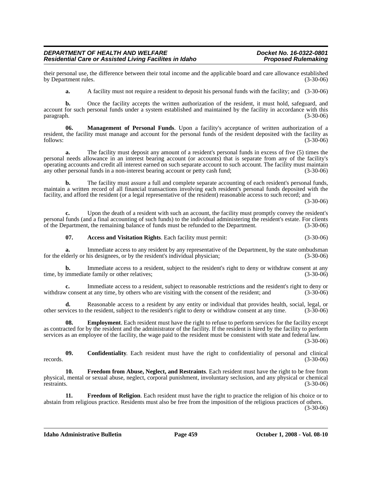their personal use, the difference between their total income and the applicable board and care allowance established<br>(3-30-06) (3-30-06) by Department rules.

**a.** A facility must not require a resident to deposit his personal funds with the facility; and  $(3-30-06)$ 

**b.** Once the facility accepts the written authorization of the resident, it must hold, safeguard, and account for such personal funds under a system established and maintained by the facility in accordance with this paragraph.  $(3-30-06)$ paragraph. (3-30-06)

**06. Management of Personal Funds**. Upon a facility's acceptance of written authorization of a resident, the facility must manage and account for the personal funds of the resident deposited with the facility as follows: (3-30-06)

**a.** The facility must deposit any amount of a resident's personal funds in excess of five (5) times the personal needs allowance in an interest bearing account (or accounts) that is separate from any of the facility's operating accounts and credit all interest earned on such separate account to such account. The facility must maintain any other personal funds in a non-interest bearing account or petty cash fund; (3-30-06) any other personal funds in a non-interest bearing account or petty cash fund;

**b.** The facility must assure a full and complete separate accounting of each resident's personal funds, maintain a written record of all financial transactions involving each resident's personal funds deposited with the facility, and afford the resident (or a legal representative of the resident) reasonable access to such record; and

(3-30-06)

**c.** Upon the death of a resident with such an account, the facility must promptly convey the resident's personal funds (and a final accounting of such funds) to the individual administering the resident's estate. For clients<br>of the Department, the remaining balance of funds must be refunded to the Department. of the Department, the remaining balance of funds must be refunded to the Department.

**07. Access and Visitation Rights**. Each facility must permit: (3-30-06)

**a.** Immediate access to any resident by any representative of the Department, by the state ombudsman lderly or his designees, or by the resident's individual physician: (3-30-06) for the elderly or his designees, or by the resident's individual physician;

**b.** Immediate access to a resident, subject to the resident's right to deny or withdraw consent at any time, by immediate family or other relatives; (3-30-06)

**c.** Immediate access to a resident, subject to reasonable restrictions and the resident's right to deny or v consent at any time, by others who are visiting with the consent of the resident: and (3-30-06) withdraw consent at any time, by others who are visiting with the consent of the resident; and

**d.** Reasonable access to a resident by any entity or individual that provides health, social, legal, or vices to the resident stright to deny or withdraw consent at any time. (3-30-06) other services to the resident, subject to the resident's right to deny or withdraw consent at any time.

**08. Employment**. Each resident must have the right to refuse to perform services for the facility except as contracted for by the resident and the administrator of the facility. If the resident is hired by the facility to perform services as an employee of the facility, the wage paid to the resident must be consistent with state and federal law.

(3-30-06)

**09. Confidentiality**. Each resident must have the right to confidentiality of personal and clinical records. (3-30-06)

**10. Freedom from Abuse, Neglect, and Restraints**. Each resident must have the right to be free from physical, mental or sexual abuse, neglect, corporal punishment, involuntary seclusion, and any physical or chemical restraints. (3-30-06)

**11. Freedom of Religion**. Each resident must have the right to practice the religion of his choice or to abstain from religious practice. Residents must also be free from the imposition of the religious practices of others. (3-30-06)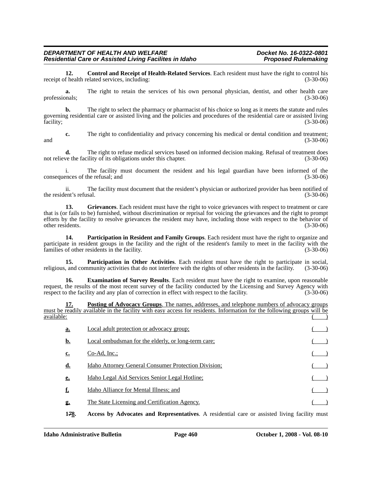**12. Control and Receipt of Health-Related Services**. Each resident must have the right to control his receipt of health related services, including:

**a.** The right to retain the services of his own personal physician, dentist, and other health care professionals; (3-30-06)

**b.** The right to select the pharmacy or pharmacist of his choice so long as it meets the statute and rules governing residential care or assisted living and the policies and procedures of the residential care or assisted living facility; (3-30-06)

**c.** The right to confidentiality and privacy concerning his medical or dental condition and treatment; and (3-30-06) and (3-30-06) and (3-30-06) and (3-30-06) and (3-30-06) and (3-30-06) and (3-30-06) and (3-30-06) and (3-30-06) and (3-30-06) and (3-30-06) and (3-30-06) and (3-30-06) and (3-30-06) and (3-30-06) and (3-30-06

**d.** The right to refuse medical services based on informed decision making. Refusal of treatment does not relieve the facility of its obligations under this chapter. (3-30-06)

i. The facility must document the resident and his legal guardian have been informed of the consequences of the refusal; and (3-30-06)

ii. The facility must document that the resident's physician or authorized provider has been notified of the resident's refusal. (3-30-06)

**13. Grievances**. Each resident must have the right to voice grievances with respect to treatment or care that is (or fails to be) furnished, without discrimination or reprisal for voicing the grievances and the right to prompt efforts by the facility to resolve grievances the resident may have, including those with respect to the behavior of other residents. (3-30-06)

**14. Participation in Resident and Family Groups**. Each resident must have the right to organize and participate in resident groups in the facility and the right of the resident's family to meet in the facility with the families of other residents in the facility. (3-30-06)

**15. Participation in Other Activities**. Each resident must have the right to participate in social, religious, and community activities that do not interfere with the rights of other residents in the facility. (3-30-06)

**16. Examination of Survey Results**. Each resident must have the right to examine, upon reasonable request, the results of the most recent survey of the facility conducted by the Licensing and Survey Agency with respect to the facility and any plan of correction in effect with respect to the facility. (3-30-06) respect to the facility and any plan of correction in effect with respect to the facility.

**17. Posting of Advocacy Groups**. The names, addresses, and telephone numbers of advocacy groups must be readily available in the facility with easy access for residents. Information for the following groups will be available: ( )

| <u>a.</u> | Local adult protection or advocacy group;                   |  |
|-----------|-------------------------------------------------------------|--|
| b.        | Local ombudsman for the elderly, or long-term care;         |  |
| c.        | $Co-Ad, Inc.$                                               |  |
| <u>d.</u> | <b>Idaho Attorney General Consumer Protection Division;</b> |  |
| e.        | Idaho Legal Aid Services Senior Legal Hotline;              |  |
|           | Idaho Alliance for Mental Illness; and                      |  |
| 2.        | The State Licensing and Certification Agency.               |  |

**1***7***8. Access by Advocates and Representatives**. A residential care or assisted living facility must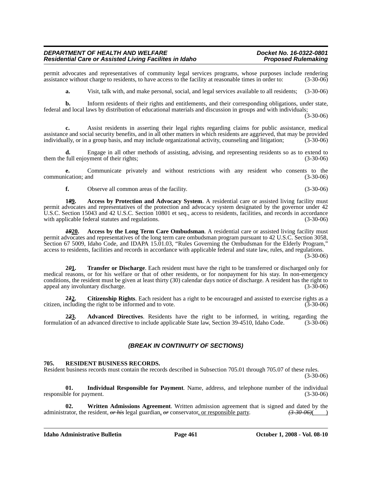permit advocates and representatives of community legal services programs, whose purposes include rendering assistance without charge to residents, to have access to the facility at reasonable times in order to: (3-30-06) assistance without charge to residents, to have access to the facility at reasonable times in order to:

**a.** Visit, talk with, and make personal, social, and legal services available to all residents; (3-30-06)

**b.** Inform residents of their rights and entitlements, and their corresponding obligations, under state, federal and local laws by distribution of educational materials and discussion in groups and with individuals;

(3-30-06)

**c.** Assist residents in asserting their legal rights regarding claims for public assistance, medical assistance and social security benefits, and in all other matters in which residents are aggrieved, that may be provided individually, or in a group basis, and may include organizational activity, counseling and litigation; (3-30-06)

**d.** Engage in all other methods of assisting, advising, and representing residents so as to extend to them the full enjoyment of their rights; (3-30-06)

**e.** Communicate privately and without restrictions with any resident who consents to the communication; and (3-30-06)

**f.** Observe all common areas of the facility. (3-30-06)

**1***8***9. Access by Protection and Advocacy System**. A residential care or assisted living facility must permit advocates and representatives of the protection and advocacy system designated by the governor under 42 U.S.C. Section 15043 and 42 U.S.C. Section 10801 et seq., access to residents, facilities, and records in accordance with applicable federal statutes and regulations. (3-30-06) (3-30-06)

*19***20. Access by the Long Term Care Ombudsman**. A residential care or assisted living facility must permit advocates and representatives of the long term care ombudsman program pursuant to 42 U.S.C. Section 3058, Section 67 5009, Idaho Code, and IDAPA 15.01.03, "Rules Governing the Ombudsman for the Elderly Program," access to residents, facilities and records in accordance with applicable federal and state law, rules, and regulations.

(3-30-06)

**2***0***1. Transfer or Discharge**. Each resident must have the right to be transferred or discharged only for medical reasons, or for his welfare or that of other residents, or for nonpayment for his stay. In non-emergency conditions, the resident must be given at least thirty (30) calendar days notice of discharge. A resident has the right to appeal any involuntary discharge. (3-30-06)

**2***1***2. Citizenship Rights**. Each resident has a right to be encouraged and assisted to exercise rights as a citizen, including the right to be informed and to vote. (3-30-06)

**2***2***3. Advanced Directives**. Residents have the right to be informed, in writing, regarding the formulation of an advanced directive to include applicable State law, Section 39-4510, Idaho Code. (3-30-06)

#### *(BREAK IN CONTINUITY OF SECTIONS)*

#### **705. RESIDENT BUSINESS RECORDS.**

Resident business records must contain the records described in Subsection 705.01 through 705.07 of these rules.

(3-30-06)

**01. Individual Responsible for Payment**. Name, address, and telephone number of the individual responsible for payment. (3-30-06)

**02. Written Admissions Agreement**. Written admission agreement that is signed and dated by the administrator, the resident,  $\theta r$  his legal guardian,  $\theta r$  conservator, or responsible party.  $(3-30-06)()$